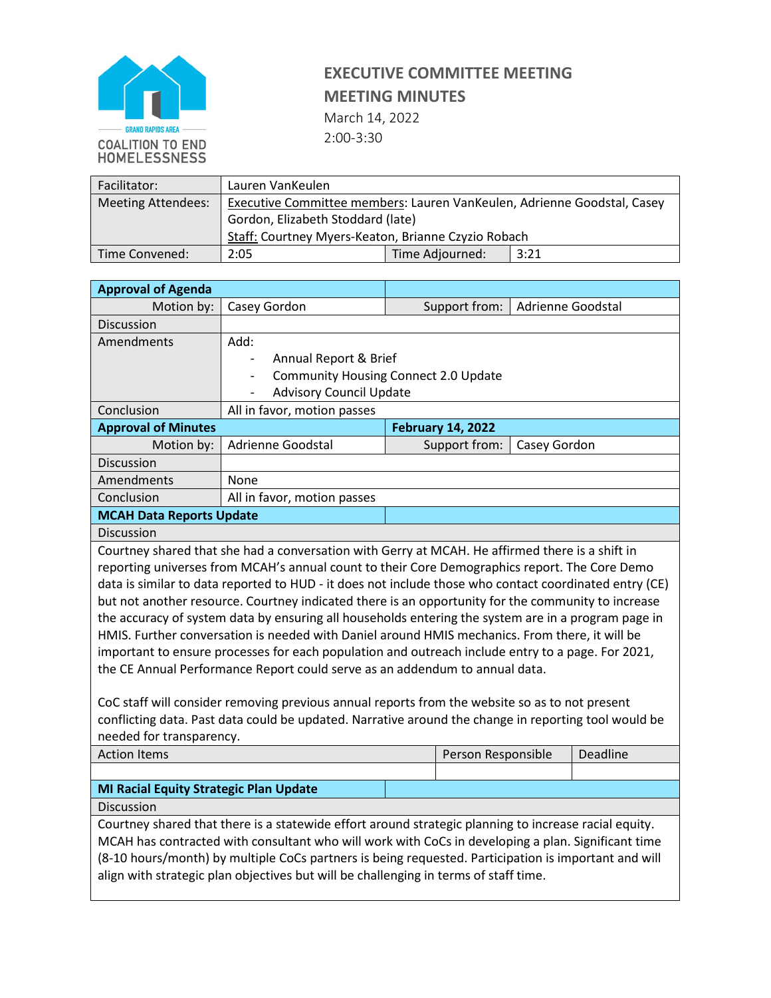

March 14, 2022

2:00-3:30

| Facilitator:       | Lauren VanKeulen                                                        |                 |      |  |
|--------------------|-------------------------------------------------------------------------|-----------------|------|--|
| Meeting Attendees: | Executive Committee members: Lauren VanKeulen, Adrienne Goodstal, Casey |                 |      |  |
|                    | Gordon, Elizabeth Stoddard (late)                                       |                 |      |  |
|                    | Staff: Courtney Myers-Keaton, Brianne Czyzio Robach                     |                 |      |  |
| l Time Convened:   | 2:05                                                                    | Time Adjourned: | 3:21 |  |

| <b>Approval of Agenda</b>                                                                                                        |                                                                                                        |  |                          |                   |          |  |
|----------------------------------------------------------------------------------------------------------------------------------|--------------------------------------------------------------------------------------------------------|--|--------------------------|-------------------|----------|--|
| Motion by:                                                                                                                       | Casey Gordon                                                                                           |  | Support from:            | Adrienne Goodstal |          |  |
| Discussion                                                                                                                       |                                                                                                        |  |                          |                   |          |  |
| Amendments                                                                                                                       | Add:                                                                                                   |  |                          |                   |          |  |
|                                                                                                                                  | Annual Report & Brief<br>$\overline{\phantom{a}}$                                                      |  |                          |                   |          |  |
|                                                                                                                                  | Community Housing Connect 2.0 Update<br>$\overline{\phantom{a}}$                                       |  |                          |                   |          |  |
|                                                                                                                                  | <b>Advisory Council Update</b>                                                                         |  |                          |                   |          |  |
| Conclusion                                                                                                                       | All in favor, motion passes                                                                            |  |                          |                   |          |  |
| <b>Approval of Minutes</b>                                                                                                       |                                                                                                        |  | <b>February 14, 2022</b> |                   |          |  |
| Motion by:                                                                                                                       | <b>Adrienne Goodstal</b>                                                                               |  | Support from:            | Casey Gordon      |          |  |
| Discussion                                                                                                                       |                                                                                                        |  |                          |                   |          |  |
| Amendments                                                                                                                       | None                                                                                                   |  |                          |                   |          |  |
| Conclusion                                                                                                                       | All in favor, motion passes                                                                            |  |                          |                   |          |  |
| <b>MCAH Data Reports Update</b>                                                                                                  |                                                                                                        |  |                          |                   |          |  |
| Discussion                                                                                                                       |                                                                                                        |  |                          |                   |          |  |
|                                                                                                                                  | Courtney shared that she had a conversation with Gerry at MCAH. He affirmed there is a shift in        |  |                          |                   |          |  |
|                                                                                                                                  | reporting universes from MCAH's annual count to their Core Demographics report. The Core Demo          |  |                          |                   |          |  |
|                                                                                                                                  | data is similar to data reported to HUD - it does not include those who contact coordinated entry (CE) |  |                          |                   |          |  |
|                                                                                                                                  | but not another resource. Courtney indicated there is an opportunity for the community to increase     |  |                          |                   |          |  |
| the accuracy of system data by ensuring all households entering the system are in a program page in                              |                                                                                                        |  |                          |                   |          |  |
| HMIS. Further conversation is needed with Daniel around HMIS mechanics. From there, it will be                                   |                                                                                                        |  |                          |                   |          |  |
| important to ensure processes for each population and outreach include entry to a page. For 2021,                                |                                                                                                        |  |                          |                   |          |  |
| the CE Annual Performance Report could serve as an addendum to annual data.                                                      |                                                                                                        |  |                          |                   |          |  |
|                                                                                                                                  |                                                                                                        |  |                          |                   |          |  |
| CoC staff will consider removing previous annual reports from the website so as to not present                                   |                                                                                                        |  |                          |                   |          |  |
| conflicting data. Past data could be updated. Narrative around the change in reporting tool would be<br>needed for transparency. |                                                                                                        |  |                          |                   |          |  |
| <b>Action Items</b>                                                                                                              |                                                                                                        |  | Person Responsible       |                   | Deadline |  |
|                                                                                                                                  |                                                                                                        |  |                          |                   |          |  |
| <b>MI Racial Equity Strategic Plan Update</b>                                                                                    |                                                                                                        |  |                          |                   |          |  |
| Discussion                                                                                                                       |                                                                                                        |  |                          |                   |          |  |
| Courtney shared that there is a statewide effort around strategic planning to increase racial equity.                            |                                                                                                        |  |                          |                   |          |  |
| MCAH has contracted with consultant who will work with CoCs in developing a plan. Significant time                               |                                                                                                        |  |                          |                   |          |  |
|                                                                                                                                  | (8-10 hours/month) by multiple CoCs partners is being requested. Participation is important and will   |  |                          |                   |          |  |
| align with strategic plan objectives but will be challenging in terms of staff time.                                             |                                                                                                        |  |                          |                   |          |  |
|                                                                                                                                  |                                                                                                        |  |                          |                   |          |  |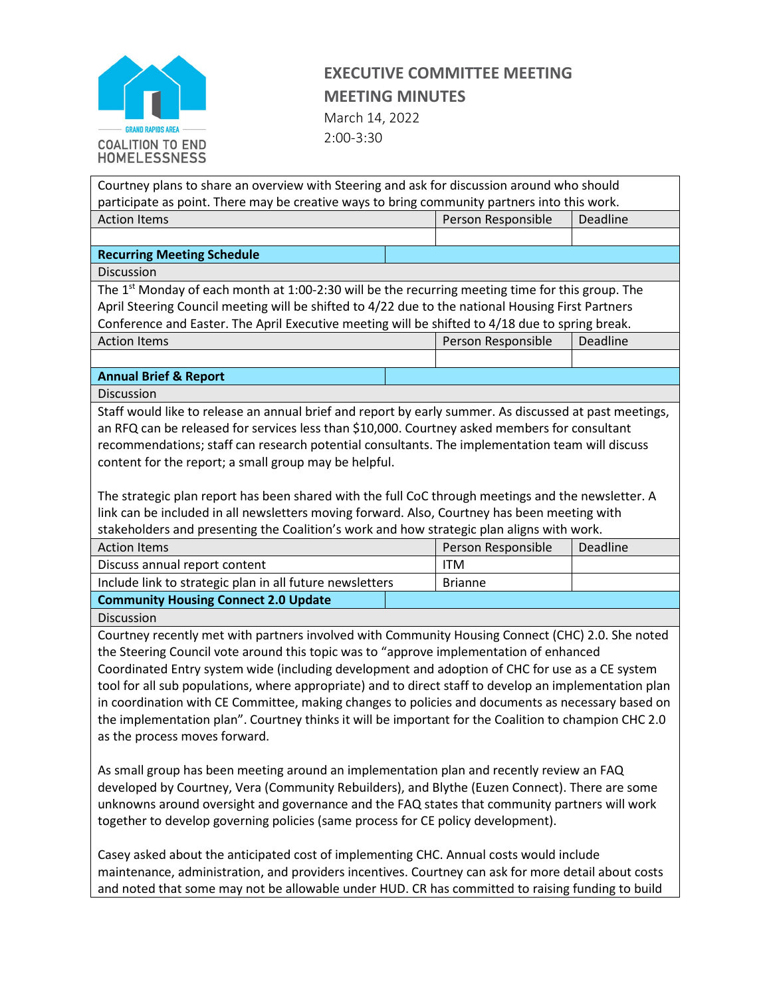

March 14, 2022 2:00-3:30

| Courtney plans to share an overview with Steering and ask for discussion around who should                                |  |                    |                 |  |
|---------------------------------------------------------------------------------------------------------------------------|--|--------------------|-----------------|--|
| participate as point. There may be creative ways to bring community partners into this work.                              |  |                    |                 |  |
| <b>Action Items</b>                                                                                                       |  | Person Responsible | <b>Deadline</b> |  |
|                                                                                                                           |  |                    |                 |  |
| <b>Recurring Meeting Schedule</b>                                                                                         |  |                    |                 |  |
| <b>Discussion</b>                                                                                                         |  |                    |                 |  |
| The 1 <sup>st</sup> Monday of each month at 1:00-2:30 will be the recurring meeting time for this group. The              |  |                    |                 |  |
| April Steering Council meeting will be shifted to 4/22 due to the national Housing First Partners                         |  |                    |                 |  |
| Conference and Easter. The April Executive meeting will be shifted to 4/18 due to spring break.                           |  |                    |                 |  |
| <b>Action Items</b>                                                                                                       |  | Person Responsible | Deadline        |  |
|                                                                                                                           |  |                    |                 |  |
| <b>Annual Brief &amp; Report</b>                                                                                          |  |                    |                 |  |
| Discussion                                                                                                                |  |                    |                 |  |
| Staff would like to release an annual brief and report by early summer. As discussed at past meetings,                    |  |                    |                 |  |
| an RFQ can be released for services less than \$10,000. Courtney asked members for consultant                             |  |                    |                 |  |
| recommendations; staff can research potential consultants. The implementation team will discuss                           |  |                    |                 |  |
| content for the report; a small group may be helpful.                                                                     |  |                    |                 |  |
|                                                                                                                           |  |                    |                 |  |
| The strategic plan report has been shared with the full CoC through meetings and the newsletter. A                        |  |                    |                 |  |
| link can be included in all newsletters moving forward. Also, Courtney has been meeting with                              |  |                    |                 |  |
| stakeholders and presenting the Coalition's work and how strategic plan aligns with work.                                 |  |                    |                 |  |
| <b>Action Items</b>                                                                                                       |  | Person Responsible | Deadline        |  |
| Discuss annual report content                                                                                             |  | <b>ITM</b>         |                 |  |
| Include link to strategic plan in all future newsletters                                                                  |  | <b>Brianne</b>     |                 |  |
| <b>Community Housing Connect 2.0 Update</b>                                                                               |  |                    |                 |  |
| Discussion                                                                                                                |  |                    |                 |  |
| Courtney recently met with partners involved with Community Housing Connect (CHC) 2.0. She noted                          |  |                    |                 |  |
| the Steering Council vote around this topic was to "approve implementation of enhanced                                    |  |                    |                 |  |
| Coordinated Entry system wide (including development and adoption of CHC for use as a CE system                           |  |                    |                 |  |
| tool for all sub populations, where appropriate) and to direct staff to develop an implementation plan                    |  |                    |                 |  |
| in coordination with CE Committee, making changes to policies and documents as necessary based on                         |  |                    |                 |  |
| the implementation plan". Courtney thinks it will be important for the Coalition to champion CHC 2.0                      |  |                    |                 |  |
|                                                                                                                           |  |                    |                 |  |
|                                                                                                                           |  |                    |                 |  |
|                                                                                                                           |  |                    |                 |  |
| as the process moves forward.<br>As small group has been meeting around an implementation plan and recently review an FAQ |  |                    |                 |  |
| developed by Courtney, Vera (Community Rebuilders), and Blythe (Euzen Connect). There are some                            |  |                    |                 |  |

Casey asked about the anticipated cost of implementing CHC. Annual costs would include maintenance, administration, and providers incentives. Courtney can ask for more detail about costs and noted that some may not be allowable under HUD. CR has committed to raising funding to build

unknowns around oversight and governance and the FAQ states that community partners will work

together to develop governing policies (same process for CE policy development).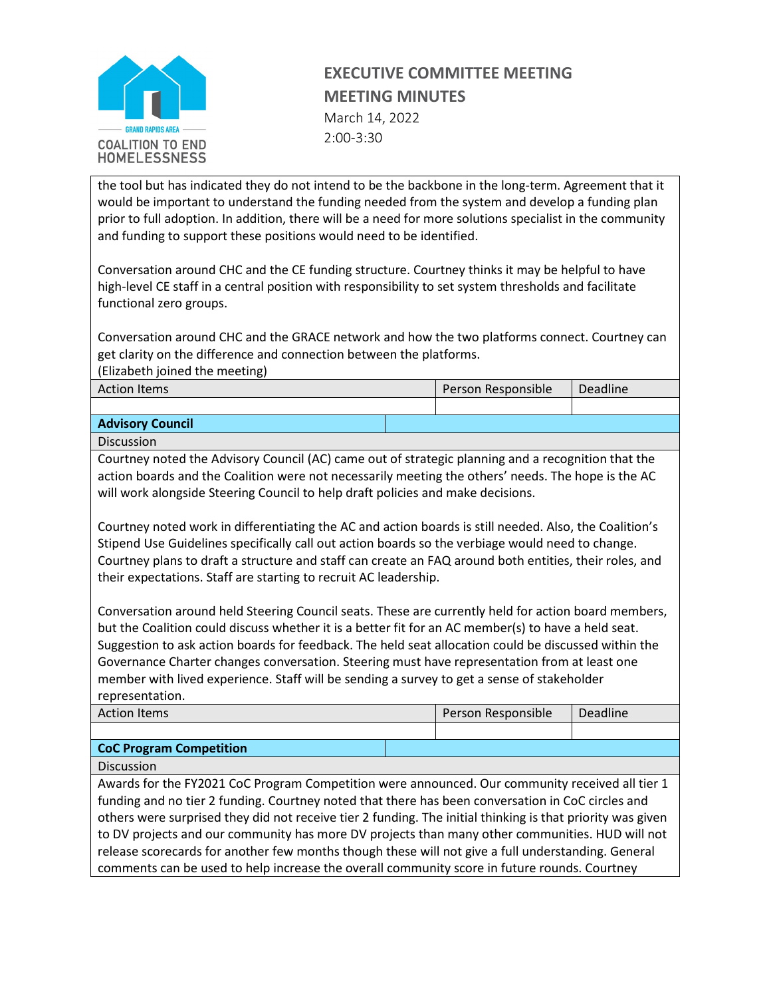

March 14, 2022 2:00-3:30

the tool but has indicated they do not intend to be the backbone in the long-term. Agreement that it would be important to understand the funding needed from the system and develop a funding plan prior to full adoption. In addition, there will be a need for more solutions specialist in the community and funding to support these positions would need to be identified.

Conversation around CHC and the CE funding structure. Courtney thinks it may be helpful to have high-level CE staff in a central position with responsibility to set system thresholds and facilitate functional zero groups.

Conversation around CHC and the GRACE network and how the two platforms connect. Courtney can get clarity on the difference and connection between the platforms.

(Elizabeth joined the meeting)

| <b>Action Items</b>     |  | Person Responsible | Deadline |
|-------------------------|--|--------------------|----------|
|                         |  |                    |          |
| <b>Advisory Council</b> |  |                    |          |

Discussion

Courtney noted the Advisory Council (AC) came out of strategic planning and a recognition that the action boards and the Coalition were not necessarily meeting the others' needs. The hope is the AC will work alongside Steering Council to help draft policies and make decisions.

Courtney noted work in differentiating the AC and action boards is still needed. Also, the Coalition's Stipend Use Guidelines specifically call out action boards so the verbiage would need to change. Courtney plans to draft a structure and staff can create an FAQ around both entities, their roles, and their expectations. Staff are starting to recruit AC leadership.

Conversation around held Steering Council seats. These are currently held for action board members, but the Coalition could discuss whether it is a better fit for an AC member(s) to have a held seat. Suggestion to ask action boards for feedback. The held seat allocation could be discussed within the Governance Charter changes conversation. Steering must have representation from at least one member with lived experience. Staff will be sending a survey to get a sense of stakeholder representation.

| <b>Action Items</b>            | Person Responsible | Deadline |
|--------------------------------|--------------------|----------|
|                                |                    |          |
| <b>CoC Program Competition</b> |                    |          |

Discussion

Awards for the FY2021 CoC Program Competition were announced. Our community received all tier 1 funding and no tier 2 funding. Courtney noted that there has been conversation in CoC circles and others were surprised they did not receive tier 2 funding. The initial thinking is that priority was given to DV projects and our community has more DV projects than many other communities. HUD will not release scorecards for another few months though these will not give a full understanding. General comments can be used to help increase the overall community score in future rounds. Courtney